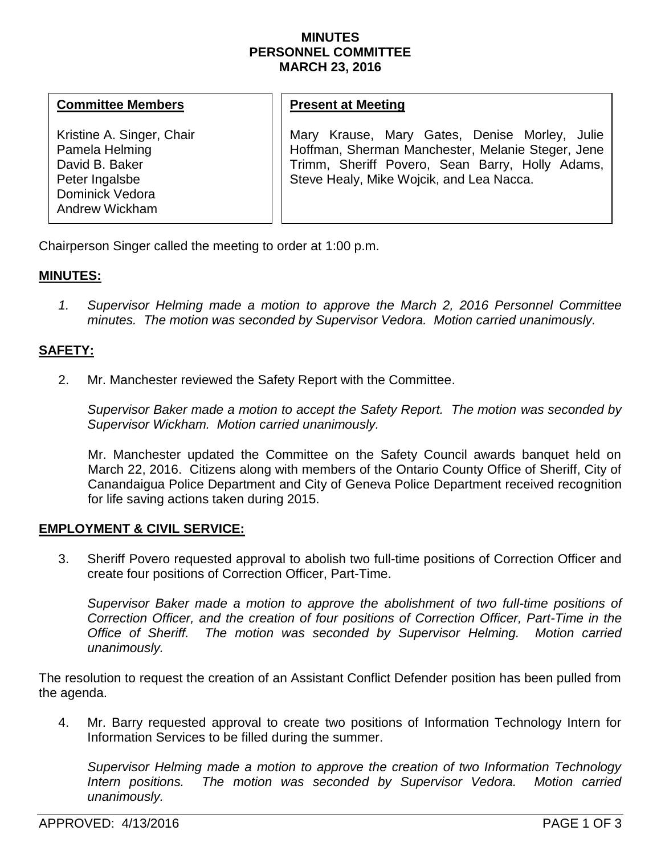#### **MINUTES PERSONNEL COMMITTEE MARCH 23, 2016**

#### **Committee Members**

Kristine A. Singer, Chair Pamela Helming David B. Baker Peter Ingalsbe Dominick Vedora Andrew Wickham

# **Present at Meeting**

Mary Krause, Mary Gates, Denise Morley, Julie Hoffman, Sherman Manchester, Melanie Steger, Jene Trimm, Sheriff Povero, Sean Barry, Holly Adams, Steve Healy, Mike Wojcik, and Lea Nacca.

Chairperson Singer called the meeting to order at 1:00 p.m.

# **MINUTES:**

*1. Supervisor Helming made a motion to approve the March 2, 2016 Personnel Committee minutes. The motion was seconded by Supervisor Vedora. Motion carried unanimously.*

# **SAFETY:**

2. Mr. Manchester reviewed the Safety Report with the Committee.

*Supervisor Baker made a motion to accept the Safety Report. The motion was seconded by Supervisor Wickham. Motion carried unanimously.* 

Mr. Manchester updated the Committee on the Safety Council awards banquet held on March 22, 2016. Citizens along with members of the Ontario County Office of Sheriff, City of Canandaigua Police Department and City of Geneva Police Department received recognition for life saving actions taken during 2015.

## **EMPLOYMENT & CIVIL SERVICE:**

3. Sheriff Povero requested approval to abolish two full-time positions of Correction Officer and create four positions of Correction Officer, Part-Time.

*Supervisor Baker made a motion to approve the abolishment of two full-time positions of Correction Officer, and the creation of four positions of Correction Officer, Part-Time in the Office of Sheriff. The motion was seconded by Supervisor Helming. Motion carried unanimously.* 

The resolution to request the creation of an Assistant Conflict Defender position has been pulled from the agenda.

4. Mr. Barry requested approval to create two positions of Information Technology Intern for Information Services to be filled during the summer.

*Supervisor Helming made a motion to approve the creation of two Information Technology Intern positions. The motion was seconded by Supervisor Vedora. Motion carried unanimously.*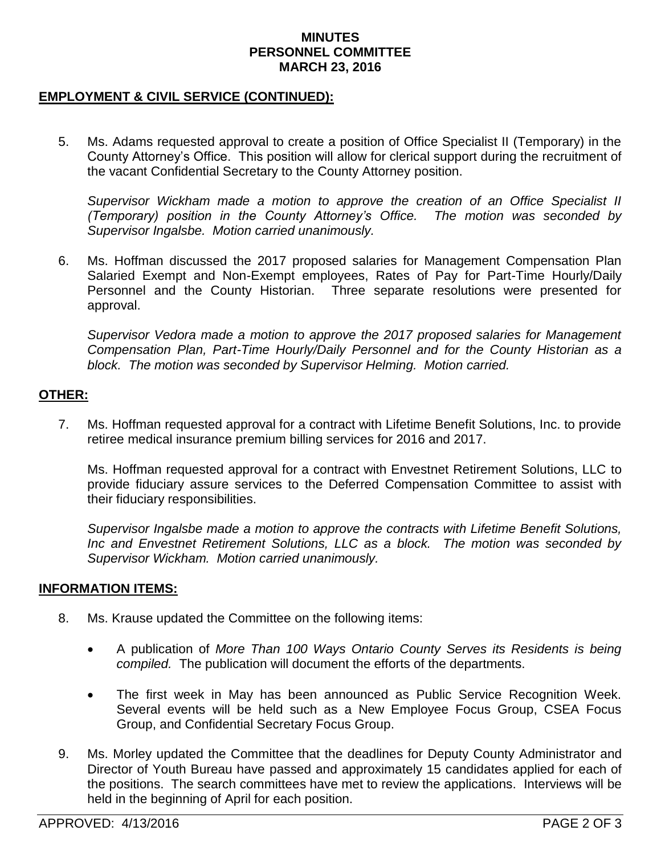#### **MINUTES PERSONNEL COMMITTEE MARCH 23, 2016**

# **EMPLOYMENT & CIVIL SERVICE (CONTINUED):**

5. Ms. Adams requested approval to create a position of Office Specialist II (Temporary) in the County Attorney's Office. This position will allow for clerical support during the recruitment of the vacant Confidential Secretary to the County Attorney position.

*Supervisor Wickham made a motion to approve the creation of an Office Specialist II (Temporary) position in the County Attorney's Office. The motion was seconded by Supervisor Ingalsbe. Motion carried unanimously.*

6. Ms. Hoffman discussed the 2017 proposed salaries for Management Compensation Plan Salaried Exempt and Non-Exempt employees, Rates of Pay for Part-Time Hourly/Daily Personnel and the County Historian. Three separate resolutions were presented for approval.

*Supervisor Vedora made a motion to approve the 2017 proposed salaries for Management Compensation Plan, Part-Time Hourly/Daily Personnel and for the County Historian as a block. The motion was seconded by Supervisor Helming. Motion carried.* 

## **OTHER:**

7. Ms. Hoffman requested approval for a contract with Lifetime Benefit Solutions, Inc. to provide retiree medical insurance premium billing services for 2016 and 2017.

Ms. Hoffman requested approval for a contract with Envestnet Retirement Solutions, LLC to provide fiduciary assure services to the Deferred Compensation Committee to assist with their fiduciary responsibilities.

*Supervisor Ingalsbe made a motion to approve the contracts with Lifetime Benefit Solutions, Inc and Envestnet Retirement Solutions, LLC as a block. The motion was seconded by Supervisor Wickham. Motion carried unanimously.*

## **INFORMATION ITEMS:**

- 8. Ms. Krause updated the Committee on the following items:
	- A publication of *More Than 100 Ways Ontario County Serves its Residents is being compiled.* The publication will document the efforts of the departments.
	- The first week in May has been announced as Public Service Recognition Week. Several events will be held such as a New Employee Focus Group, CSEA Focus Group, and Confidential Secretary Focus Group.
- 9. Ms. Morley updated the Committee that the deadlines for Deputy County Administrator and Director of Youth Bureau have passed and approximately 15 candidates applied for each of the positions. The search committees have met to review the applications. Interviews will be held in the beginning of April for each position.